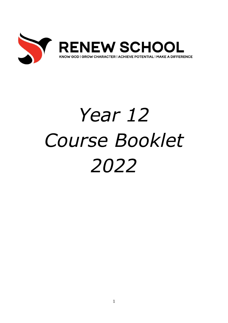

# *Year 12 Course Booklet 2022*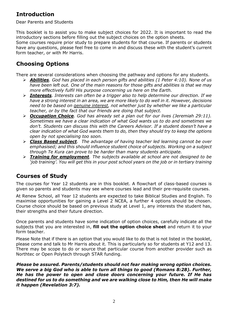## **Introduction**

Dear Parents and Students

This booklet is to assist you to make subject choices for 2022. It is important to read the introductory sections before filling out the subject choices on the option sheets.

Some courses require prior study to prepare students for that course. If parents or students have any questions, please feel free to come in and discuss these with the student's current form teacher, or with Mr Harris.

## **Choosing Options**

There are several considerations when choosing the pathway and options for any students.

- ➢ *Abilities. God has placed in each person gifts and abilities (1 Peter 4:10). None of us have been left out. One of the main reasons for those gifts and abilities is that we may more effectively fulfil His purpose concerning us here on the Earth.*
- ➢ *Interests. Interests can often be a trigger also to help determine our direction. If we have a strong interest in an area, we are more likely to do well in it. However, decisions need to be based on genuine interest, not whether just by whether we like a particular teacher, or by the fact that our friends are doing that subject.*
- ➢ *Occupation Choice. God has already set a plan out for our lives (Jeremiah 29:11). Sometimes we have a clear indication of what God wants us to do and sometimes we don't. Students can discuss this with the Careers Advisor. If a student doesn't have a clear indication of what God wants them to do, then they should try to keep the options open by not specialising too soon.*
- ➢ *Class Based subject. The advantage of having teacher led learning cannot be over emphasised; and this should influence student choice of subjects. Working on a subject through Te Kura can prove to be harder than many students anticipate.*
- ➢ *Training for employment. The subjects available at school are not designed to be 'job training'. You will get this in your post school years on the job or in tertiary training*

## **Courses of Study**

The courses for Year 12 students are in this booklet. A flowchart of class-based courses is given so parents and students may see where courses lead and their pre-requisite courses.

At Renew School, all Year 12 students are expected to take Biblical Studies and English. To maximise opportunities for gaining a Level 2 NCEA, a further 4 options should be chosen. Course choice should be based on previous study at Level 1, any interests the student has, their strengths and their future direction.

Once parents and students have some indication of option choices, carefully indicate all the subjects that you are interested in, **fill out the option choice sheet** and return it to your form teacher.

Please Note that if there is an option that you would like to do that is not listed in the booklet, please come and talk to Mr Harris about it. This is particularly so for students at Y12 and 13. There may be scope to do or source that particular course from another provider such as Northtec or Open Polytech through STAR funding.

*Please be assured. Parents/students should not fear making wrong option choices. We serve a big God who is able to turn all things to good (Romans 8:28). Further, He has the power to open and close doors concerning your future. If He has destined for us to do something and we are walking close to Him, then He will make it happen (Revelation 3:7).*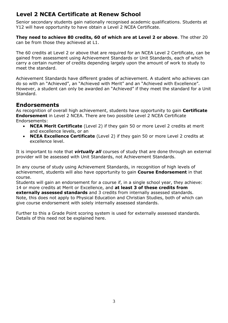## **Level 2 NCEA Certificate at Renew School**

Senior secondary students gain nationally recognised academic qualifications. Students at Y12 will have opportunity to have obtain a Level 2 NCEA Certificate.

**They need to achieve 80 credits, 60 of which are at Level 2 or above**. The other 20 can be from those they achieved at L1.

The 60 credits at Level 2 or above that are required for an NCEA Level 2 Certificate, can be gained from assessment using Achievement Standards or Unit Standards, each of which carry a certain number of credits depending largely upon the amount of work to study to meet the standard.

Achievement Standards have different grades of achievement. A student who achieves can do so with an "Achieved", an "Achieved with Merit" and an "Achieved with Excellence". However, a student can only be awarded an "Achieved" if they meet the standard for a Unit Standard.

## **Endorsements**

As recognition of overall high achievement, students have opportunity to gain **Certificate Endorsement** in Level 2 NCEA. There are two possible Level 2 NCEA Certificate Endorsements:

- **NCEA Merit Certificate** (Level 2) if they gain 50 or more Level 2 credits at merit and excellence levels, or an
- **NCEA Excellence Certificate** (Level 2) if they gain 50 or more Level 2 credits at excellence level.

It is important to note that *virtually all* courses of study that are done through an external provider will be assessed with Unit Standards, not Achievement Standards.

In any course of study using Achievement Standards, in recognition of high levels of achievement, students will also have opportunity to gain **Course Endorsement** in that course.

Students will gain an endorsement for a course if, in a single school year, they achieve: 14 or more credits at Merit or Excellence, and **at least 3 of these credits from externally assessed standards** and 3 credits from internally assessed standards. Note, this does not apply to Physical Education and Christian Studies, both of which can

give course endorsement with solely internally assessed standards.

Further to this a Grade Point scoring system is used for externally assessed standards. Details of this need not be explained here.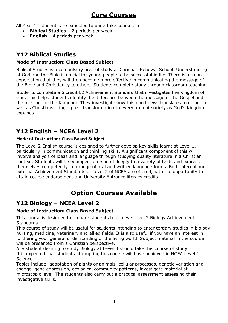# **Core Courses**

All Year 12 students are expected to undertake courses in:

- **Biblical Studies** 2 periods per week
- **English** 4 periods per week

## **Y12 Biblical Studies**

#### **Mode of Instruction: Class Based Subject**

Biblical Studies is a compulsory area of study at Christian Renewal School. Understanding of God and the Bible is crucial for young people to be successful in life. There is also an expectation that they will then become more effective in communicating the message of the Bible and Christianity to others. Students complete study through classroom teaching.

Students complete a 6 credit L2 Achievement Standard that investigates the Kingdom of God. This helps students identify the difference between the message of the Gospel and the message of the Kingdom. They investigate how this good news translates to doing life well as Christians bringing real transformation to every area of society as God's Kingdom expands.

## **Y12 English – NCEA Level 2**

#### **Mode of Instruction: Class Based Subject**

The Level 2 English course is designed to further develop key skills learnt at Level 1, particularly in communication and thinking skills. A significant component of this will involve analysis of ideas and language through studying quality literature in a Christian context. Students will be equipped to respond deeply to a variety of texts and express themselves competently in a range of oral and written language forms. Both internal and external Achievement Standards at Level 2 of NCEA are offered, with the opportunity to attain course endorsement and University Entrance literacy credits.

# **Option Courses Available**

## **Y12 Biology – NCEA Level 2**

#### **Mode of Instruction: Class Based Subject**

This course is designed to prepare students to achieve Level 2 Biology Achievement Standards.

This course of study will be useful for students intending to enter tertiary studies in biology, nursing, medicine, veterinary and allied fields. It is also useful if you have an interest in furthering your general understanding of the living world. Subject material in the course will be presented from a Christian perspective.

Any student desiring to study Biology at Level 3 should take this course of study. It is expected that students attempting this course will have achieved in NCEA Level 1 Science.

Topics include: adaptation of plants or animals, cellular processes, genetic variation and change, gene expression, ecological community patterns, investigate material at microscopic level. The students also carry out a practical assessment assessing their investigative skills.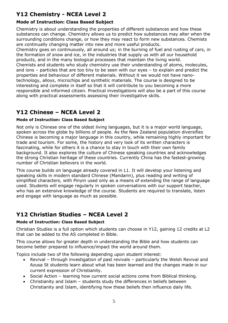# **Y12 Chemistry - NCEA Level 2**

#### **Mode of Instruction: Class Based Subject**

Chemistry is about understanding the properties of different substances and how these substances can change. Chemistry allows us to predict how substances may alter when the surrounding conditions change, or how they may react to form new substances. Chemists are continually changing matter into new and more useful products.

Chemistry goes on continuously, all around us; in the burning of fuel and rusting of cars, in the formation of snow and ice, in the industries that supply us with all our household products, and in the many biological processes that maintain the living world. Chemists and students who study chemistry use their understanding of atoms, molecules, and ions – particles that are too tiny to be seen with our eyes – to explain and predict the properties and behaviour of different materials. Without it we would not have nanotechnology, alloys, microchips and synthetic materials. The course is designed to be interesting and complete in itself so that it will contribute to you becoming a more responsible and informed citizen. Practical investigations will also be a part of this course along with practical assessments assessing their investigative skills.

## **Y12 Chinese – NCEA Level 2**

#### **Mode of Instruction: Class Based Subject**

Not only is Chinese one of the oldest living languages, but it is a major world language, spoken across the globe by billions of people. As the New Zealand population diversifies Chinese is becoming a major language in this country, while remaining highly important for trade and tourism. For some, the history and very look of its written characters is fascinating, while for others it is a chance to stay in touch with their own family background. It also explores the culture of Chinese speaking countries and acknowledges the strong Christian heritage of these countries. Currently China has the fastest-growing number of Christian believers in the world.

This course builds on language already covered in L1. It will develop your listening and speaking skills in modern standard Chinese (Mandarin), plus reading and writing of simplified characters, with Pinyin used only as a means of extending the range of language used. Students will engage regularly in spoken conversations with our support teacher, who has an extensive knowledge of the course. Students are required to translate, listen and engage with language as much as possible.

## **Y12 Christian Studies – NCEA Level 2**

#### **Mode of Instruction: Class Based Subject**

Christian Studies is a full option which students can choose in Y12, gaining 12 credits at L2 that can be added to the AS completed in Bible.

This course allows for greater depth in understanding the Bible and how students can become better prepared to influence/impact the world around them.

Topics include two of the following depending upon student interest:

- Revival through investigation of past revivals particularly the Welsh Revival and Azusa St students learn about what has been learned and the changes made in our current expression of Christianity.
- Social Action learning how current social actions come from Biblical thinking.
- Christianity and Islam students study the differences in beliefs between Christianity and Islam, identifying how these beliefs then influence daily life.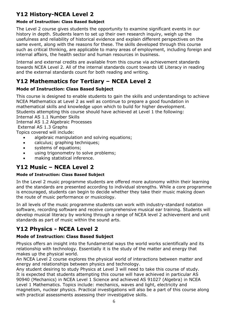# **Y12 History-NCEA Level 2**

#### **Mode of Instruction: Class Based Subject**

The Level 2 course gives students the opportunity to examine significant events in our history in depth. Students learn to set up their own research inquiry, weigh up the usefulness and reliability of historical evidence and explain different perspectives on the same event, along with the reasons for these. The skills developed through this course such as critical thinking, are applicable to many areas of employment, including foreign and internal affairs, the health sector and human resources in business.

Internal and external credits are available from this course via achievement standards towards NCEA Level 2. All of the internal standards count towards UE Literacy in reading and the external standards count for both reading and writing.

## **Y12 Mathematics for Tertiary – NCEA Level 2**

#### **Mode of Instruction: Class Based Subject**

This course is designed to enable students to gain the skills and understandings to achieve NCEA Mathematics at Level 2 as well as continue to prepare a good foundation in mathematical skills and knowledge upon which to build for higher development. Students attempting this course should have achieved at Level 1 the following:

Internal AS 1.1 Number Skills

Internal AS 1.2 Algebraic Processes

External AS 1.3 Graphs

Topics covered will include:

- algebraic manipulation and solving equations;
- calculus; graphing techniques;
- systems of equations;
- using trigonometry to solve problems;
- making statistical inference.

## **Y12 Music – NCEA Level 2**

#### **Mode of Instruction: Class Based Subject**

In the Level 2 music programme students are offered more autonomy within their learning and the standards are presented according to individual strengths. While a core programme is encouraged, students can begin to decide whether they take their music making down the route of music performance or musicology.

In all levels of the music programme students can work with industry-standard notation software, recording software and receive comprehensive musical ear training. Students will develop musical literacy by working through a range of NCEA level 2 achievement and unit standards as part of music within the sound arts.

## **Y12 Physics - NCEA Level 2**

#### **Mode of Instruction: Class Based Subject**

Physics offers an insight into the fundamental ways the world works scientifically and its relationship with technology. Essentially it is the study of the matter and energy that makes up the physical world.

An NCEA Level 2 course explores the physical world of interactions between matter and energy and relationships between physics and technology.

Any student desiring to study Physics at Level 3 will need to take this course of study. It is expected that students attempting this course will have achieved in particular AS 90940 (Mechanics) in NCEA Level 1 Science and achieved AS 91027 (Algebra) in NCEA Level 1 Mathematics. Topics include: mechanics, waves and light, electricity and magnetism, nuclear physics. Practical investigations will also be a part of this course along with practical assessments assessing their investigative skills.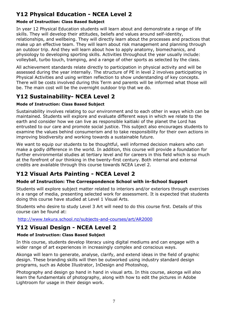# **Y12 Physical Education - NCEA Level 2**

#### **Mode of Instruction: Class Based Subject**

In year 12 Physical Education students will learn about and demonstrate a range of life skills. They will develop their attitudes, beliefs and values around self-identity, relationships, and wellbeing. They will directly learn about the processes and practices that make up an effective team. They will learn about risk management and planning through an outdoor trip. And they will learn about how to apply anatomy, biomechanics, and physiology to developing sporting skills. Activities throughout the year usually include: volleyball, turbo touch, tramping, and a range of other sports as selected by the class.

All achievement standards relate directly to participation in physical activity and will be assessed during the year internally. The structure of PE in level 2 involves participating in Physical Activities and using written reflection to show understanding of key concepts. There will be costs involved during this Term and parents will be informed what those will be. The main cost will be the overnight outdoor trip that we do.

## **Y12 Sustainability- NCEA Level 2**

#### **Mode of Instruction: Class Based Subject**

Sustainability involves relating to our environment and to each other in ways which can be maintained. Students will explore and evaluate different ways in which we relate to the earth and consider how we can live as responsible kaitiaki of the planet the Lord has entrusted to our care and promote social justice. This subject also encourages students to examine the values behind consumerism and to take responsibility for their own actions in improving biodiversity and working towards a sustainable future.

We want to equip our students to be thoughtful, well informed decision makers who can make a godly difference in the world. In addition, this course will provide a foundation for further environmental studies at tertiary level and for careers in this field which is so much at the forefront of our thinking in the twenty-first century. Both internal and external credits are available through this course towards NCEA Level 2.

## **Y12 Visual Arts Painting - NCEA Level 2**

#### **Mode of Instruction: The Correspondence School with in-School Support**

Students will explore subject matter related to interiors and/or exteriors through exercises in a range of media, presenting selected work for assessment. It is expected that students doing this course have studied at Level 1 Visual Arts.

Students who desire to study Level 3 Art will need to do this course first. Details of this course can be found at:

<http://www.tekura.school.nz/subjects-and-courses/art/AR2000>

## **Y12 Visual Design - NCEA Level 2**

#### **Mode of Instruction: Class Based Subject**

In this course, students develop literacy using digital mediums and can engage with a wider range of art experiences in increasingly complex and conscious ways.

Akonga will learn to generate, analyse, clarify, and extend ideas in the field of graphic design. These branding skills will then be outworked using industry standard design programs, such as Adobe Illustrator, InDesign and Photoshop,

Photography and design go hand in hand in visual arts. In this course, akonga will also learn the fundamentals of photography, along with how to edit the pictures in Adobe Lightroom for usage in their design work.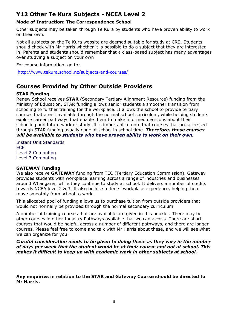## **Y12 Other Te Kura Subjects - NCEA Level 2**

#### **Mode of Instruction: The Correspondence School**

Other subjects may be taken through Te Kura by students who have proven ability to work on their own.

Not all subjects on the Te Kura website are deemed suitable for study at CRS. Students should check with Mr Harris whether it is possible to do a subject that they are interested in. Parents and students should remember that a class-based subject has many advantages over studying a subject on your own

For course information, go to:

<http://www.tekura.school.nz/subjects-and-courses/>

## **Courses Provided by Other Outside Providers**

#### **STAR Funding**

Renew School receives **STAR** (Secondary Tertiary Alignment Resource) funding from the Ministry of Education. STAR funding allows senior students a smoother transition from schooling to further training for the workplace. It allows the school to provide tertiary courses that aren't available through the normal school curriculum, while helping students explore career pathways that enable them to make informed decisions about their schooling and future work or study. It is important to note that courses that are accessed through STAR funding usually done at school in school time. *Therefore, these courses will be available to students who have proven ability to work on their own.*

Instant Unit Standards ECE Level 2 Computing Level 3 Computing

#### **GATEWAY Funding**

We also receive **GATEWAY** funding from TEC (Tertiary Education Commission). Gateway provides students with workplace learning across a range of industries and businesses around Whangarei, while they continue to study at school. It delivers a number of credits towards NCEA level 2 & 3. It also builds students' workplace experience, helping them move smoothly from school to work.

This allocated pool of funding allows us to purchase tuition from outside providers that would not normally be provided through the normal secondary curriculum.

A number of training courses that are available are given in this booklet. There may be other courses in other Industry Pathways available that we can access. There are short courses that would be helpful across a number of different pathways, and there are longer courses. Please feel free to come and talk with Mr Harris about these, and we will see what we can organize for you.

*Careful consideration needs to be given to doing these as they vary in the number of days per week that the student would be at their course and not at school. This makes it difficult to keep up with academic work in other subjects at school.*

**Any enquiries in relation to the STAR and Gateway Course should be directed to Mr Harris.**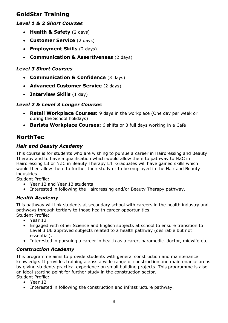# **GoldStar Training**

## *Level 1 & 2 Short Courses*

- **Health & Safety** (2 days)
- **Customer Service** (2 days)
- **Employment Skills** (2 days)
- **Communication & Assertiveness** (2 days)

## *Level 3 Short Courses*

- **Communication & Confidence** (3 days)
- **Advanced Customer Service** (2 days)
- **Interview Skills** (1 day)

## *Level 2 & Level 3 Longer Courses*

- **Retail Workplace Courses:** 9 days in the workplace (One day per week or during the School holidays)
- **Barista Workplace Courses:** 6 shifts or 3 full days working in a Café

# **NorthTec**

## *Hair and Beauty Academy*

This course is for students who are wishing to pursue a career in Hairdressing and Beauty Therapy and to have a qualification which would allow them to pathway to NZC in Hairdressing L3 or NZC in Beauty Therapy L4. Graduates will have gained skills which would then allow them to further their study or to be employed in the Hair and Beauty industries.

Student Profile:

- Year 12 and Year 13 students
- Interested in following the Hairdressing and/or Beauty Therapy pathway.

## *Health Academy*

This pathway will link students at secondary school with careers in the health industry and pathways through tertiary to those health career opportunities. Student Profile:

- Year 12
- Engaged with other Science and English subjects at school to ensure transition to Level 3 UE approved subjects related to a health pathway (desirable but not essential).
- Interested in pursuing a career in health as a carer, paramedic, doctor, midwife etc.

## *Construction Academy*

This programme aims to provide students with general construction and maintenance knowledge. It provides training across a wide range of construction and maintenance areas by giving students practical experience on small building projects. This programme is also an ideal starting point for further study in the construction sector. Student Profile:

- Year 12
- Interested in following the construction and infrastructure pathway.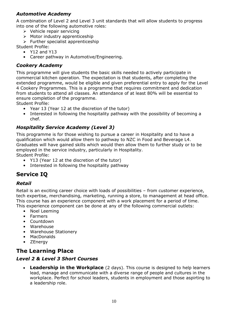#### *Automotive Academy*

A combination of Level 2 and Level 3 unit standards that will allow students to progress into one of the following automotive roles:

- ➢ Vehicle repair servicing
- $\triangleright$  Motor industry apprenticeship
- $\triangleright$  Further specialist apprenticeship

Student Profile:

- Y12 and Y13
- Career pathway in Automotive/Engineering.

#### *Cookery Academy*

This programme will give students the basic skills needed to actively participate in commercial kitchen operation. The expectation is that students, after completing the extended programme, would be eligible and given preferential entry to apply for the Level 4 Cookery Programmes. This is a programme that requires commitment and dedication from students to attend all classes. An attendance of at least 80% will be essential to ensure completion of the programme.

Student Profile:

- Year 13 (Year 12 at the discretion of the tutor)
- Interested in following the hospitality pathway with the possibility of becoming a chef.

## *Hospitality Service Academy (Level 3)*

This programme is for those wishing to pursue a career in Hospitality and to have a qualification which would allow them to pathway to NZC in Food and Beverage L4. Graduates will have gained skills which would then allow them to further study or to be employed in the service industry, particularly in Hospitality. Student Profile:

- Y13 (Year 12 at the discretion of the tutor)
- Interested in following the hospitality pathway

# **Service IQ**

#### *Retail*

Retail is an exciting career choice with loads of possibilities – from customer experience, tech expertise, merchandising, marketing, running a store, to management at head office. This course has an experience component with a work placement for a period of time. This experience component can be done at any of the following commercial outlets:

- Noel Leeming
- Farmers
- Countdown
- Warehouse
- Warehouse Stationery
- MacDonalds
- ZEnergy

# **The Learning Place**

#### *Level 2 & Level 3 Short Courses*

• **Leadership in the Workplace** (2 days). This course is designed to help learners lead, manage and communicate with a diverse range of people and cultures in the workplace. Perfect for school leaders, students in employment and those aspirting to a leadership role.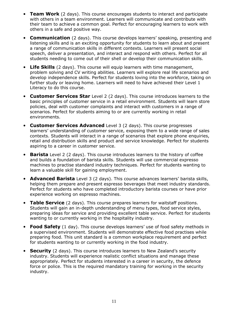- **Team Work** (2 days). This course encourages students to interact and participate with others in a team environment. Learners will communicate and contribute with their team to achieve a common goal. Perfect for encouraging learners to work with others in a safe and positive way.
- **Communication** (2 days). This course develops learners' speaking, presenting and listening skills and is an exciting opportunity for students to learn about and present a range of communication skills in different contexts. Learners will present social speech, deliver a presentation, and interact and respond with others. Perfect for all students needing to come out of their shell or develop their communication skills.
- **Life Skills** (2 days). This course will equip learners with time management, problem solving and CV writing abilities. Learners will explore real life scenarios and develop independence skills. Perfect for students loving into the workforce, taking on further study or leaving home. Learners will need to have achieved their Level 1 Literacy to do this course.
- **Customer Services Star** Level 2 (2 days). This course introduces learners to the basic principles of customer service in a retail environment. Students will learn store policies, deal with customer complaints and interact with customers in a range of scenarios. Perfect for students aiming to or are currently working in retail environments.
- **Customer Services Advanced** Level 3 (2 days). This course progresses learners' understanding of customer service, exposing them to a wide range of sales contexts. Students will interact in a range of scenarios that explore phone enquiries, retail and distribution skills and product and service knowledge. Perfect for students aspiring to a career in customer service.
- **Barista** Level 2 (2 days). This course introduces learners to the history of coffee and builds a foundation of barista skills. Students will use commercial expresso machines to practise standard industry techniques. Perfect for students wanting to learn a valuable skill for gaining employment.
- **Advanced Barista** Level 3 (2 days). This course advances learners' barista skills, helping them prepare and present espresso beverages that meet industry standards. Perfect for students who have completed introductory barista courses or have prior experience working on espresso machines.
- **Table Service** (2 days). This course prepares learners for waitstaff positions. Students will gain an in-depth understanding of menu types, food service styles, preparing ideas for service and providing excellent table service. Perfect for students wanting to or currently working in the hospitality industry.
- **Food Safety** (1 day). This course develops learners' use of food safety methods in a supervised environment. Students will demonstrate effective food practises while preparing food. This unit standard is a common workplace requirement and perfect for students wanting to or currently working in the food industry.
- **Security** (2 days). This course introduces learners to New Zealand's security industry. Students will experience realistic conflict situations and manage these appropriately. Perfect for students interested in a career in security, the defence force or police. This is the required mandatory training for working in the security industry.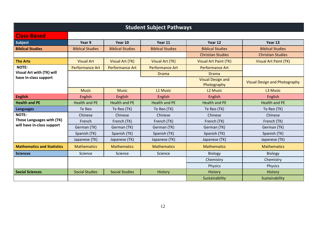| <b>Student Subject Pathways</b>                                         |                         |                         |                         |                                         |                                      |  |  |  |
|-------------------------------------------------------------------------|-------------------------|-------------------------|-------------------------|-----------------------------------------|--------------------------------------|--|--|--|
| <b>Class-Based</b>                                                      |                         |                         |                         |                                         |                                      |  |  |  |
| Subject                                                                 | Year 9                  | Year 10                 | Year 11                 | Year 12                                 | Year 13                              |  |  |  |
| <b>Biblical Studies</b>                                                 | <b>Biblical Studies</b> | <b>Biblical Studies</b> | <b>Biblical Studies</b> | <b>Biblical Studies</b>                 | <b>Biblical Studies</b>              |  |  |  |
|                                                                         |                         |                         |                         | <b>Christian Studies</b>                | <b>Christian Studies</b>             |  |  |  |
| <b>The Arts</b>                                                         | <b>Visual Art</b>       | <b>Visual Art (TK)</b>  | Visual Art (TK)         | <b>Visual Art Paint (TK)</b>            | Visual Art Paint (TK)                |  |  |  |
| <b>NOTE:</b>                                                            | <b>Performance Art</b>  | <b>Performance Art</b>  | <b>Performance Art</b>  | <b>Performance Art</b>                  |                                      |  |  |  |
| Visual Art with (TK) will                                               | <b>Drama</b>            |                         |                         | <b>Drama</b>                            |                                      |  |  |  |
| have in-class support                                                   |                         |                         |                         | <b>Visual Design and</b><br>Photography | <b>Visual Design and Photography</b> |  |  |  |
|                                                                         | <b>Music</b>            | <b>Music</b>            | L1 Music                | <b>L2 Music</b>                         | L3 Music                             |  |  |  |
| <b>English</b>                                                          | English                 | English                 | <b>English</b>          | <b>English</b>                          | English                              |  |  |  |
| <b>Health and PE</b>                                                    | <b>Health and PE</b>    | <b>Health and PE</b>    | <b>Health and PE</b>    | <b>Health and PE</b>                    | <b>Health and PE</b>                 |  |  |  |
| <b>Languages</b>                                                        | Te Reo                  | Te Reo (TK)             | Te Reo (TK)             | Te Reo (TK)                             | Te Reo (TK)                          |  |  |  |
| <b>NOTE:</b><br>Those Languages with (TK)<br>will have in-class support | Chinese                 | Chinese                 | Chinese                 | Chinese                                 | Chinese                              |  |  |  |
|                                                                         | French                  | French (TK)             | French (TK)             | French (TK)                             | French (TK)                          |  |  |  |
|                                                                         | German (TK)             | German (TK)             | German (TK)             | German (TK)                             | German (TK)                          |  |  |  |
|                                                                         | Spanish (TK)            | Spanish (TK)            | Spanish (TK)            | Spanish (TK)                            | Spanish (TK)                         |  |  |  |
|                                                                         | Japanese (TK)           | Japanese (TK)           | Japanese (TK)           | Japanese (TK)                           | Japanese (TK)                        |  |  |  |
| <b>Mathematics and Statistics</b>                                       | <b>Mathematics</b>      | <b>Mathematics</b>      | <b>Mathematics</b>      | <b>Mathematics</b>                      | <b>Mathematics</b>                   |  |  |  |
| <b>Sciences</b>                                                         | Science                 | Science                 | Science                 | <b>Biology</b>                          | <b>Biology</b>                       |  |  |  |
|                                                                         |                         |                         |                         | Chemistry                               | Chemistry                            |  |  |  |
|                                                                         |                         |                         |                         | Physics                                 | <b>Physics</b>                       |  |  |  |
| <b>Social Sciences</b>                                                  | <b>Social Studies</b>   | <b>Social Studies</b>   | <b>History</b>          | <b>History</b>                          | <b>History</b>                       |  |  |  |
|                                                                         |                         |                         |                         | Sustainability                          | Sustainability                       |  |  |  |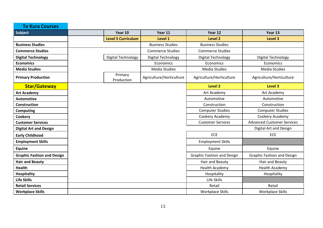| <b>Te Kura Courses</b>            |                                                   |                         |                                   |                                   |  |
|-----------------------------------|---------------------------------------------------|-------------------------|-----------------------------------|-----------------------------------|--|
| Subject                           | Year 10                                           | Year 11                 | Year 12                           | Year 13                           |  |
|                                   | <b>Level 5 Curriculum</b>                         | Level 1                 | Level 2                           | Level 3                           |  |
| <b>Business Studies</b>           |                                                   | <b>Business Studies</b> | <b>Business Studies</b>           |                                   |  |
| <b>Commerce Studies</b>           |                                                   | <b>Commerce Studies</b> | <b>Commerce Studies</b>           |                                   |  |
| <b>Digital Technology</b>         | Digital Technology                                | Digital Technology      | Digital Technology                | Digital Technology                |  |
| <b>Economics</b>                  |                                                   | Economics               | Economics                         | Economics                         |  |
| <b>Media Studies</b>              |                                                   | <b>Media Studies</b>    | <b>Media Studies</b>              | Media Studies                     |  |
| <b>Primary Production</b>         | Primary<br>Agriculture/Horticulture<br>Production |                         | Agriculture/Horticulture          | Agriculture/Horticulture          |  |
| <b>Star/Gateway</b>               |                                                   |                         | <b>Level 2</b>                    | Level 3                           |  |
| <b>Art Academy</b>                |                                                   |                         | Art Academy                       | Art Academy                       |  |
| <b>Automotive</b>                 |                                                   |                         | Automotive                        | Automotive                        |  |
| Construction                      |                                                   |                         | Construction                      | Construction                      |  |
| <b>Computing</b>                  |                                                   |                         | <b>Computer Studies</b>           | <b>Computer Studies</b>           |  |
| Cookery                           |                                                   |                         | Cookery Academy                   | Cookery Academy                   |  |
| <b>Customer Services</b>          |                                                   |                         | <b>Customer Services</b>          | <b>Advanced Customer Services</b> |  |
| <b>Digital Art and Design</b>     |                                                   |                         |                                   | Digital Art and Design            |  |
| <b>Early Childhood</b>            |                                                   |                         | <b>ECE</b>                        | <b>ECE</b>                        |  |
| <b>Employment Skills</b>          |                                                   |                         | <b>Employment Skills</b>          |                                   |  |
| <b>Equine</b>                     |                                                   |                         | Equine                            | Equine                            |  |
| <b>Graphic Fashion and Design</b> |                                                   |                         | <b>Graphic Fashion and Design</b> | <b>Graphic Fashion and Design</b> |  |
| <b>Hair and Beauty</b>            |                                                   |                         | Hair and Beauty                   | Hair and Beauty                   |  |
| <b>Health</b>                     |                                                   |                         | <b>Health Academy</b>             | Health Academy                    |  |
| <b>Hospitality</b>                |                                                   |                         | Hospitality                       | Hospitality                       |  |
| <b>Life Skills</b>                |                                                   |                         | Life Skills                       |                                   |  |
| <b>Retail Services</b>            |                                                   |                         | Retail                            | Retail                            |  |
| <b>Workplace Skills</b>           |                                                   |                         | <b>Workplace Skills</b>           | <b>Workplace Skills</b>           |  |